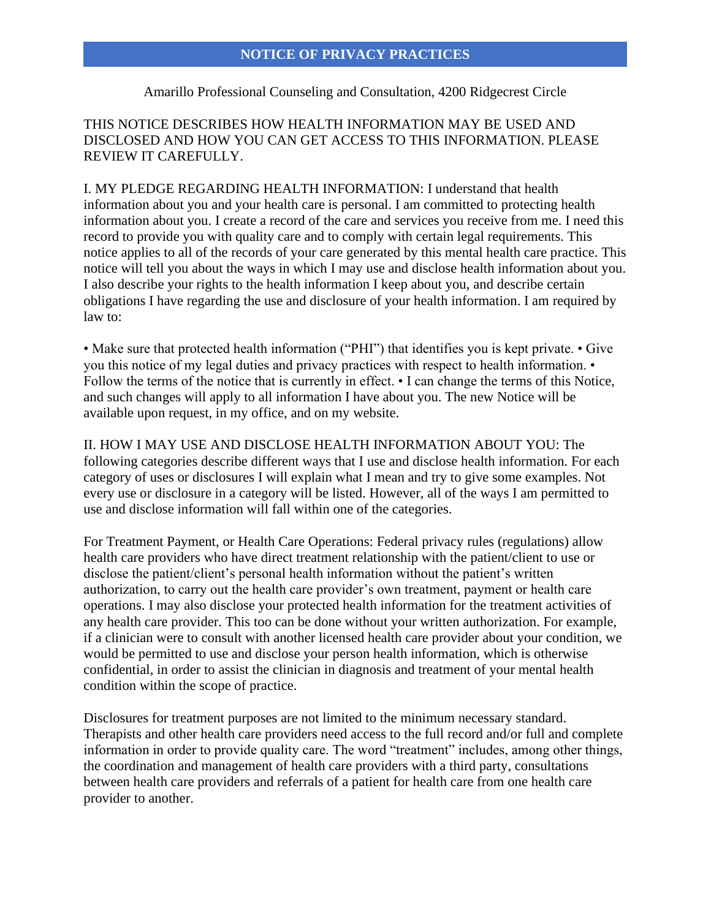## Amarillo Professional Counseling and Consultation, 4200 Ridgecrest Circle

THIS NOTICE DESCRIBES HOW HEALTH INFORMATION MAY BE USED AND DISCLOSED AND HOW YOU CAN GET ACCESS TO THIS INFORMATION. PLEASE REVIEW IT CAREFULLY.

I. MY PLEDGE REGARDING HEALTH INFORMATION: I understand that health information about you and your health care is personal. I am committed to protecting health information about you. I create a record of the care and services you receive from me. I need this record to provide you with quality care and to comply with certain legal requirements. This notice applies to all of the records of your care generated by this mental health care practice. This notice will tell you about the ways in which I may use and disclose health information about you. I also describe your rights to the health information I keep about you, and describe certain obligations I have regarding the use and disclosure of your health information. I am required by law to:

• Make sure that protected health information ("PHI") that identifies you is kept private. • Give you this notice of my legal duties and privacy practices with respect to health information. • Follow the terms of the notice that is currently in effect. • I can change the terms of this Notice, and such changes will apply to all information I have about you. The new Notice will be available upon request, in my office, and on my website.

II. HOW I MAY USE AND DISCLOSE HEALTH INFORMATION ABOUT YOU: The following categories describe different ways that I use and disclose health information. For each category of uses or disclosures I will explain what I mean and try to give some examples. Not every use or disclosure in a category will be listed. However, all of the ways I am permitted to use and disclose information will fall within one of the categories.

For Treatment Payment, or Health Care Operations: Federal privacy rules (regulations) allow health care providers who have direct treatment relationship with the patient/client to use or disclose the patient/client's personal health information without the patient's written authorization, to carry out the health care provider's own treatment, payment or health care operations. I may also disclose your protected health information for the treatment activities of any health care provider. This too can be done without your written authorization. For example, if a clinician were to consult with another licensed health care provider about your condition, we would be permitted to use and disclose your person health information, which is otherwise confidential, in order to assist the clinician in diagnosis and treatment of your mental health condition within the scope of practice.

Disclosures for treatment purposes are not limited to the minimum necessary standard. Therapists and other health care providers need access to the full record and/or full and complete information in order to provide quality care. The word "treatment" includes, among other things, the coordination and management of health care providers with a third party, consultations between health care providers and referrals of a patient for health care from one health care provider to another.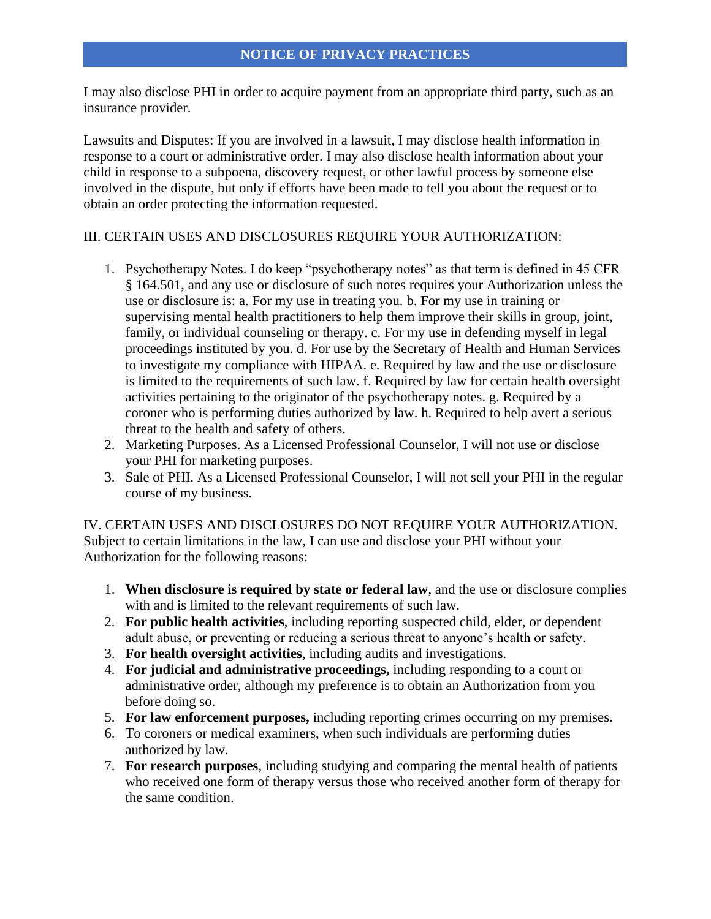I may also disclose PHI in order to acquire payment from an appropriate third party, such as an insurance provider.

Lawsuits and Disputes: If you are involved in a lawsuit, I may disclose health information in response to a court or administrative order. I may also disclose health information about your child in response to a subpoena, discovery request, or other lawful process by someone else involved in the dispute, but only if efforts have been made to tell you about the request or to obtain an order protecting the information requested.

### III. CERTAIN USES AND DISCLOSURES REQUIRE YOUR AUTHORIZATION:

- 1. Psychotherapy Notes. I do keep "psychotherapy notes" as that term is defined in 45 CFR § 164.501, and any use or disclosure of such notes requires your Authorization unless the use or disclosure is: a. For my use in treating you. b. For my use in training or supervising mental health practitioners to help them improve their skills in group, joint, family, or individual counseling or therapy. c. For my use in defending myself in legal proceedings instituted by you. d. For use by the Secretary of Health and Human Services to investigate my compliance with HIPAA. e. Required by law and the use or disclosure is limited to the requirements of such law. f. Required by law for certain health oversight activities pertaining to the originator of the psychotherapy notes. g. Required by a coroner who is performing duties authorized by law. h. Required to help avert a serious threat to the health and safety of others.
- 2. Marketing Purposes. As a Licensed Professional Counselor, I will not use or disclose your PHI for marketing purposes.
- 3. Sale of PHI. As a Licensed Professional Counselor, I will not sell your PHI in the regular course of my business.

IV. CERTAIN USES AND DISCLOSURES DO NOT REQUIRE YOUR AUTHORIZATION. Subject to certain limitations in the law, I can use and disclose your PHI without your Authorization for the following reasons:

- 1. **When disclosure is required by state or federal law**, and the use or disclosure complies with and is limited to the relevant requirements of such law.
- 2. **For public health activities**, including reporting suspected child, elder, or dependent adult abuse, or preventing or reducing a serious threat to anyone's health or safety.
- 3. **For health oversight activities**, including audits and investigations.
- 4. **For judicial and administrative proceedings,** including responding to a court or administrative order, although my preference is to obtain an Authorization from you before doing so.
- 5. **For law enforcement purposes,** including reporting crimes occurring on my premises.
- 6. To coroners or medical examiners, when such individuals are performing duties authorized by law.
- 7. **For research purposes**, including studying and comparing the mental health of patients who received one form of therapy versus those who received another form of therapy for the same condition.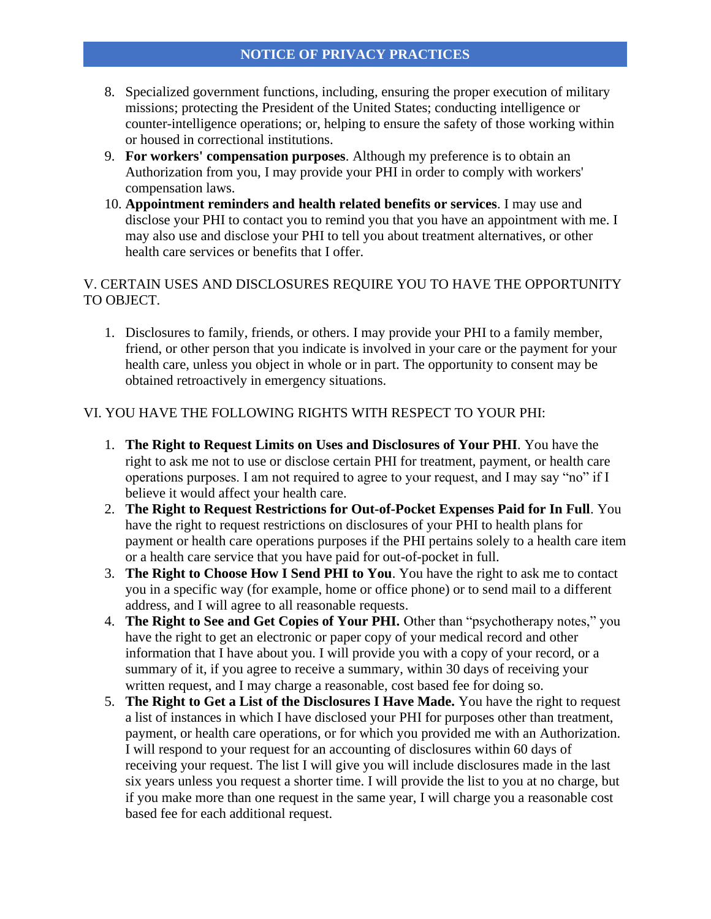- 8. Specialized government functions, including, ensuring the proper execution of military missions; protecting the President of the United States; conducting intelligence or counter-intelligence operations; or, helping to ensure the safety of those working within or housed in correctional institutions.
- 9. **For workers' compensation purposes**. Although my preference is to obtain an Authorization from you, I may provide your PHI in order to comply with workers' compensation laws.
- 10. **Appointment reminders and health related benefits or services**. I may use and disclose your PHI to contact you to remind you that you have an appointment with me. I may also use and disclose your PHI to tell you about treatment alternatives, or other health care services or benefits that I offer.

## V. CERTAIN USES AND DISCLOSURES REQUIRE YOU TO HAVE THE OPPORTUNITY TO OBJECT.

1. Disclosures to family, friends, or others. I may provide your PHI to a family member, friend, or other person that you indicate is involved in your care or the payment for your health care, unless you object in whole or in part. The opportunity to consent may be obtained retroactively in emergency situations.

# VI. YOU HAVE THE FOLLOWING RIGHTS WITH RESPECT TO YOUR PHI:

- 1. **The Right to Request Limits on Uses and Disclosures of Your PHI**. You have the right to ask me not to use or disclose certain PHI for treatment, payment, or health care operations purposes. I am not required to agree to your request, and I may say "no" if I believe it would affect your health care.
- 2. **The Right to Request Restrictions for Out-of-Pocket Expenses Paid for In Full**. You have the right to request restrictions on disclosures of your PHI to health plans for payment or health care operations purposes if the PHI pertains solely to a health care item or a health care service that you have paid for out-of-pocket in full.
- 3. **The Right to Choose How I Send PHI to You**. You have the right to ask me to contact you in a specific way (for example, home or office phone) or to send mail to a different address, and I will agree to all reasonable requests.
- 4. **The Right to See and Get Copies of Your PHI.** Other than "psychotherapy notes," you have the right to get an electronic or paper copy of your medical record and other information that I have about you. I will provide you with a copy of your record, or a summary of it, if you agree to receive a summary, within 30 days of receiving your written request, and I may charge a reasonable, cost based fee for doing so.
- 5. **The Right to Get a List of the Disclosures I Have Made.** You have the right to request a list of instances in which I have disclosed your PHI for purposes other than treatment, payment, or health care operations, or for which you provided me with an Authorization. I will respond to your request for an accounting of disclosures within 60 days of receiving your request. The list I will give you will include disclosures made in the last six years unless you request a shorter time. I will provide the list to you at no charge, but if you make more than one request in the same year, I will charge you a reasonable cost based fee for each additional request.